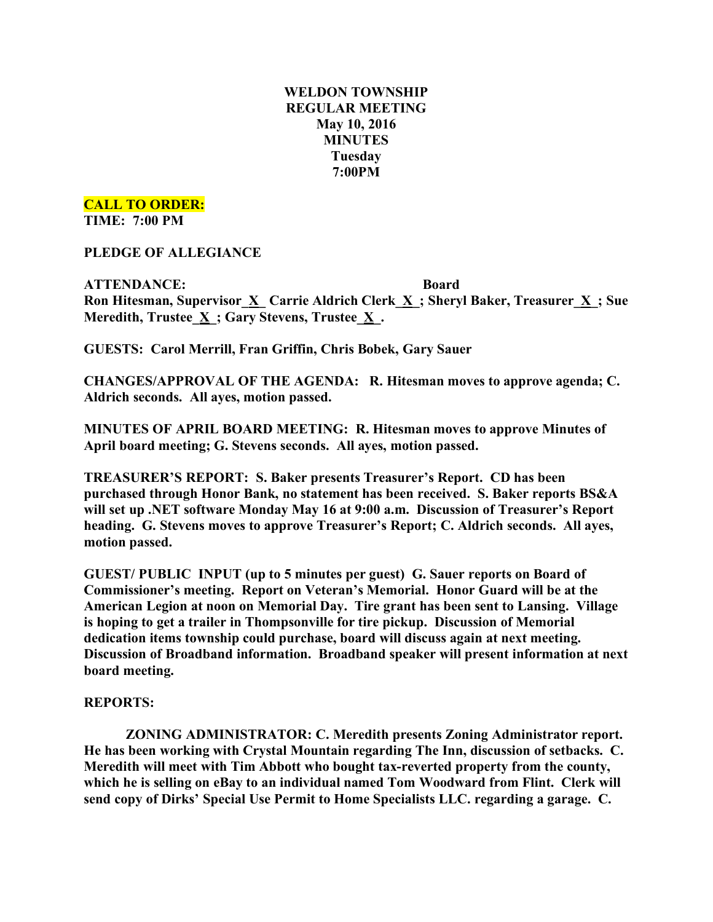# **WELDON TOWNSHIP REGULAR MEETING May 10, 2016 MINUTES Tuesday 7:00PM**

## **CALL TO ORDER:**

**TIME: 7:00 PM**

**PLEDGE OF ALLEGIANCE**

**ATTENDANCE: Board Ron Hitesman, Supervisor\_X\_ Carrie Aldrich Clerk\_X\_; Sheryl Baker, Treasurer\_X\_; Sue Meredith, Trustee\_X\_; Gary Stevens, Trustee\_X\_.**

**GUESTS: Carol Merrill, Fran Griffin, Chris Bobek, Gary Sauer**

**CHANGES/APPROVAL OF THE AGENDA: R. Hitesman moves to approve agenda; C. Aldrich seconds. All ayes, motion passed.**

**MINUTES OF APRIL BOARD MEETING: R. Hitesman moves to approve Minutes of April board meeting; G. Stevens seconds. All ayes, motion passed.**

**TREASURER'S REPORT: S. Baker presents Treasurer's Report. CD has been purchased through Honor Bank, no statement has been received. S. Baker reports BS&A will set up .NET software Monday May 16 at 9:00 a.m. Discussion of Treasurer's Report heading. G. Stevens moves to approve Treasurer's Report; C. Aldrich seconds. All ayes, motion passed.**

**GUEST/ PUBLIC INPUT (up to 5 minutes per guest) G. Sauer reports on Board of Commissioner's meeting. Report on Veteran's Memorial. Honor Guard will be at the American Legion at noon on Memorial Day. Tire grant has been sent to Lansing. Village is hoping to get a trailer in Thompsonville for tire pickup. Discussion of Memorial dedication items township could purchase, board will discuss again at next meeting. Discussion of Broadband information. Broadband speaker will present information at next board meeting.**

### **REPORTS:**

**ZONING ADMINISTRATOR: C. Meredith presents Zoning Administrator report. He has been working with Crystal Mountain regarding The Inn, discussion of setbacks. C. Meredith will meet with Tim Abbott who bought tax-reverted property from the county, which he is selling on eBay to an individual named Tom Woodward from Flint. Clerk will send copy of Dirks' Special Use Permit to Home Specialists LLC. regarding a garage. C.**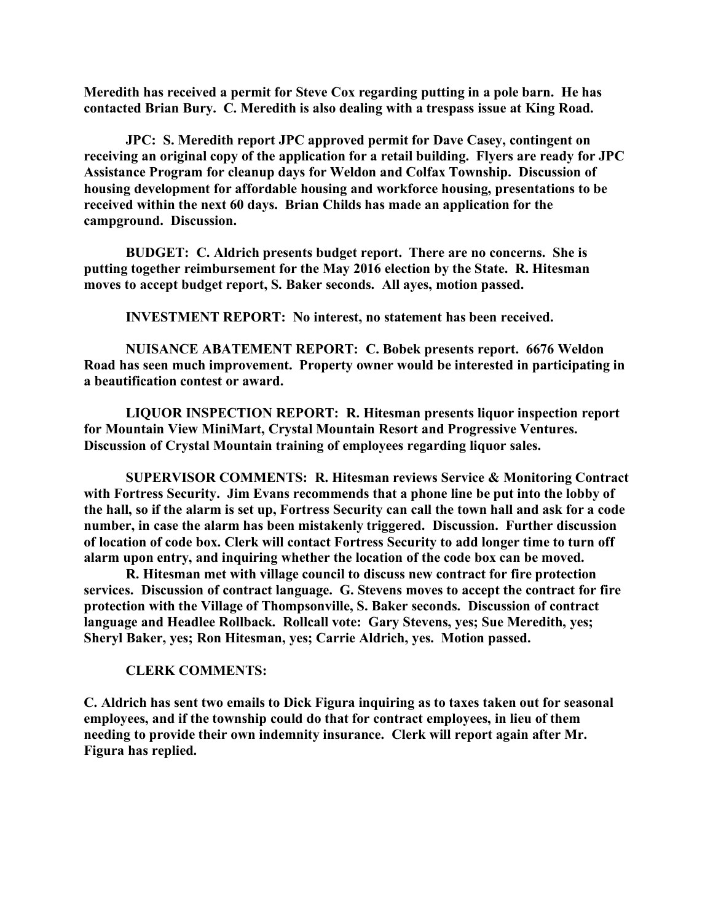**Meredith has received a permit for Steve Cox regarding putting in a pole barn. He has contacted Brian Bury. C. Meredith is also dealing with a trespass issue at King Road.**

**JPC: S. Meredith report JPC approved permit for Dave Casey, contingent on receiving an original copy of the application for a retail building. Flyers are ready for JPC Assistance Program for cleanup days for Weldon and Colfax Township. Discussion of housing development for affordable housing and workforce housing, presentations to be received within the next 60 days. Brian Childs has made an application for the campground. Discussion.**

**BUDGET: C. Aldrich presents budget report. There are no concerns. She is putting together reimbursement for the May 2016 election by the State. R. Hitesman moves to accept budget report, S. Baker seconds. All ayes, motion passed.**

**INVESTMENT REPORT: No interest, no statement has been received.**

**NUISANCE ABATEMENT REPORT: C. Bobek presents report. 6676 Weldon Road has seen much improvement. Property owner would be interested in participating in a beautification contest or award.**

**LIQUOR INSPECTION REPORT: R. Hitesman presents liquor inspection report for Mountain View MiniMart, Crystal Mountain Resort and Progressive Ventures. Discussion of Crystal Mountain training of employees regarding liquor sales.**

**SUPERVISOR COMMENTS: R. Hitesman reviews Service & Monitoring Contract with Fortress Security. Jim Evans recommends that a phone line be put into the lobby of the hall, so if the alarm is set up, Fortress Security can call the town hall and ask for a code number, in case the alarm has been mistakenly triggered. Discussion. Further discussion of location of code box. Clerk will contact Fortress Security to add longer time to turn off alarm upon entry, and inquiring whether the location of the code box can be moved.**

**R. Hitesman met with village council to discuss new contract for fire protection services. Discussion of contract language. G. Stevens moves to accept the contract for fire protection with the Village of Thompsonville, S. Baker seconds. Discussion of contract language and Headlee Rollback. Rollcall vote: Gary Stevens, yes; Sue Meredith, yes; Sheryl Baker, yes; Ron Hitesman, yes; Carrie Aldrich, yes. Motion passed.**

#### **CLERK COMMENTS:**

**C. Aldrich has sent two emails to Dick Figura inquiring as to taxes taken out for seasonal employees, and if the township could do that for contract employees, in lieu of them needing to provide their own indemnity insurance. Clerk will report again after Mr. Figura has replied.**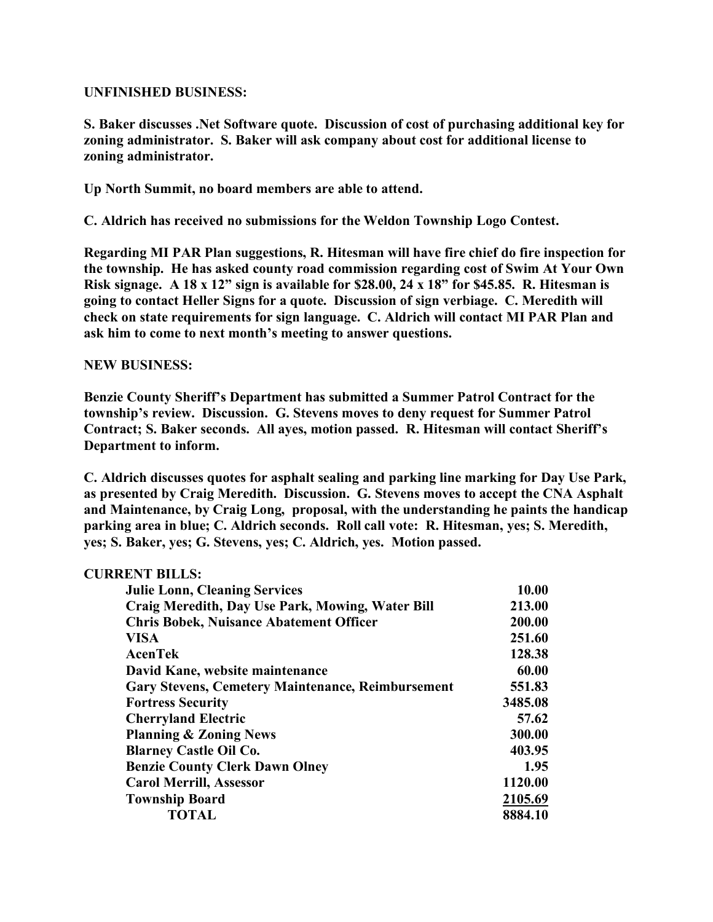### **UNFINISHED BUSINESS:**

**S. Baker discusses .Net Software quote. Discussion of cost of purchasing additional key for zoning administrator. S. Baker will ask company about cost for additional license to zoning administrator.**

**Up North Summit, no board members are able to attend.**

**C. Aldrich has received no submissions for the Weldon Township Logo Contest.**

**Regarding MI PAR Plan suggestions, R. Hitesman will have fire chief do fire inspection for the township. He has asked county road commission regarding cost of Swim At Your Own Risk signage. A 18 x 12" sign is available for \$28.00, 24 x 18" for \$45.85. R. Hitesman is going to contact Heller Signs for a quote. Discussion of sign verbiage. C. Meredith will check on state requirements for sign language. C. Aldrich will contact MI PAR Plan and ask him to come to next month's meeting to answer questions.**

### **NEW BUSINESS:**

**Benzie County Sheriff's Department has submitted a Summer Patrol Contract for the township's review. Discussion. G. Stevens moves to deny request for Summer Patrol Contract; S. Baker seconds. All ayes, motion passed. R. Hitesman will contact Sheriff's Department to inform.**

**C. Aldrich discusses quotes for asphalt sealing and parking line marking for Day Use Park, as presented by Craig Meredith. Discussion. G. Stevens moves to accept the CNA Asphalt and Maintenance, by Craig Long, proposal, with the understanding he paints the handicap parking area in blue; C. Aldrich seconds. Roll call vote: R. Hitesman, yes; S. Meredith, yes; S. Baker, yes; G. Stevens, yes; C. Aldrich, yes. Motion passed.**

| <b>CURRENT BILLS:</b>                                    |         |
|----------------------------------------------------------|---------|
| <b>Julie Lonn, Cleaning Services</b>                     | 10.00   |
| Craig Meredith, Day Use Park, Mowing, Water Bill         | 213.00  |
| <b>Chris Bobek, Nuisance Abatement Officer</b>           | 200.00  |
| <b>VISA</b>                                              | 251.60  |
| AcenTek                                                  | 128.38  |
| David Kane, website maintenance                          | 60.00   |
| <b>Gary Stevens, Cemetery Maintenance, Reimbursement</b> | 551.83  |
| <b>Fortress Security</b>                                 | 3485.08 |
| <b>Cherryland Electric</b>                               | 57.62   |
| <b>Planning &amp; Zoning News</b>                        | 300.00  |
| <b>Blarney Castle Oil Co.</b>                            | 403.95  |
| <b>Benzie County Clerk Dawn Olney</b>                    | 1.95    |
| <b>Carol Merrill, Assessor</b>                           | 1120.00 |
| <b>Township Board</b>                                    | 2105.69 |
| <b>TOTAL</b>                                             | 8884.10 |